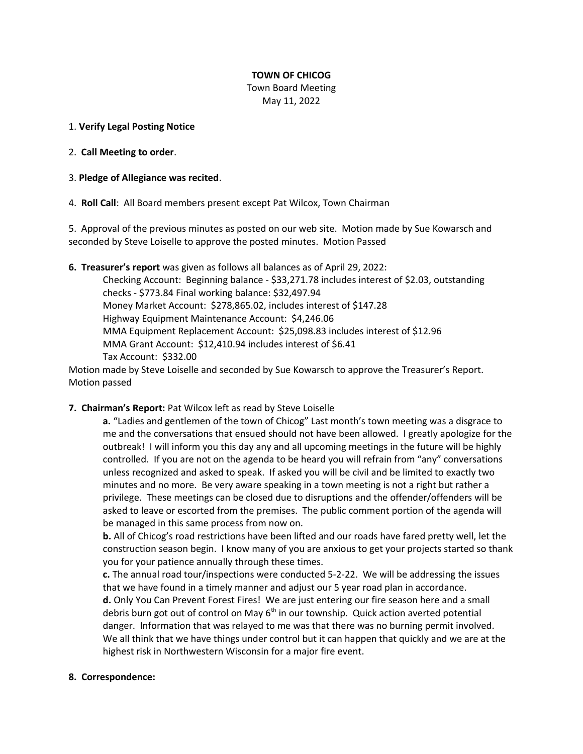# **TOWN OF CHICOG**

Town Board Meeting May 11, 2022

### 1. **Verify Legal Posting Notice**

- 2. **Call Meeting to order**.
- 3. **Pledge of Allegiance was recited**.

4. **Roll Call**: All Board members present except Pat Wilcox, Town Chairman

5. Approval of the previous minutes as posted on our web site. Motion made by Sue Kowarsch and seconded by Steve Loiselle to approve the posted minutes. Motion Passed

**6. Treasurer's report** was given as follows all balances as of April 29, 2022:

Checking Account: Beginning balance - \$33,271.78 includes interest of \$2.03, outstanding checks - \$773.84 Final working balance: \$32,497.94 Money Market Account: \$278,865.02, includes interest of \$147.28 Highway Equipment Maintenance Account: \$4,246.06 MMA Equipment Replacement Account: \$25,098.83 includes interest of \$12.96 MMA Grant Account: \$12,410.94 includes interest of \$6.41 Tax Account: \$332.00

Motion made by Steve Loiselle and seconded by Sue Kowarsch to approve the Treasurer's Report. Motion passed

# **7. Chairman's Report:** Pat Wilcox left as read by Steve Loiselle

**a.** "Ladies and gentlemen of the town of Chicog" Last month's town meeting was a disgrace to me and the conversations that ensued should not have been allowed. I greatly apologize for the outbreak! I will inform you this day any and all upcoming meetings in the future will be highly controlled. If you are not on the agenda to be heard you will refrain from "any" conversations unless recognized and asked to speak. If asked you will be civil and be limited to exactly two minutes and no more. Be very aware speaking in a town meeting is not a right but rather a privilege. These meetings can be closed due to disruptions and the offender/offenders will be asked to leave or escorted from the premises. The public comment portion of the agenda will be managed in this same process from now on.

**b.** All of Chicog's road restrictions have been lifted and our roads have fared pretty well, let the construction season begin. I know many of you are anxious to get your projects started so thank you for your patience annually through these times.

**c.** The annual road tour/inspections were conducted 5-2-22. We will be addressing the issues that we have found in a timely manner and adjust our 5 year road plan in accordance. **d.** Only You Can Prevent Forest Fires! We are just entering our fire season here and a small debris burn got out of control on May  $6<sup>th</sup>$  in our township. Quick action averted potential danger. Information that was relayed to me was that there was no burning permit involved. We all think that we have things under control but it can happen that quickly and we are at the highest risk in Northwestern Wisconsin for a major fire event.

#### **8. Correspondence:**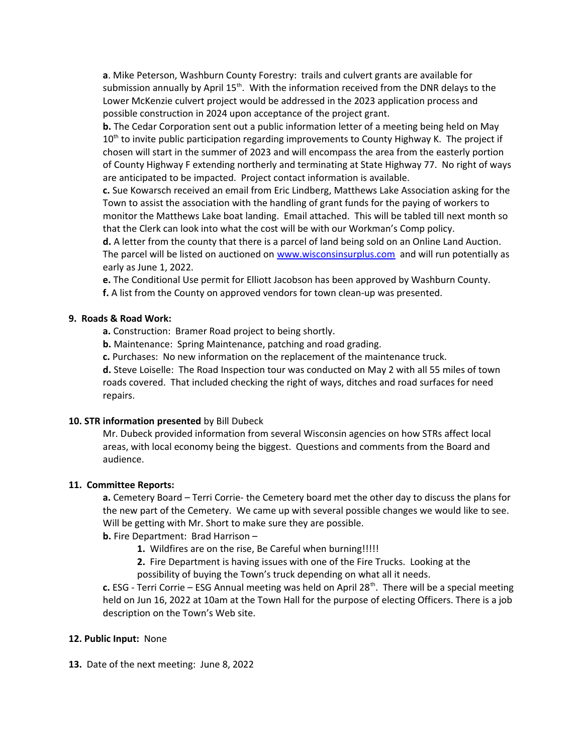**a**. Mike Peterson, Washburn County Forestry: trails and culvert grants are available for submission annually by April  $15<sup>th</sup>$ . With the information received from the DNR delays to the Lower McKenzie culvert project would be addressed in the 2023 application process and possible construction in 2024 upon acceptance of the project grant.

**b.** The Cedar Corporation sent out a public information letter of a meeting being held on May  $10<sup>th</sup>$  to invite public participation regarding improvements to County Highway K. The project if chosen will start in the summer of 2023 and will encompass the area from the easterly portion of County Highway F extending northerly and terminating at State Highway 77. No right of ways are anticipated to be impacted. Project contact information is available.

**c.** Sue Kowarsch received an email from Eric Lindberg, Matthews Lake Association asking for the Town to assist the association with the handling of grant funds for the paying of workers to monitor the Matthews Lake boat landing. Email attached. This will be tabled till next month so that the Clerk can look into what the cost will be with our Workman's Comp policy.

**d.** A letter from the county that there is a parcel of land being sold on an Online Land Auction. The parcel will be listed on auctioned on [www.wisconsinsurplus.com](http://www.wisconsinsurplus.com/) and will run potentially as early as June 1, 2022.

**e.** The Conditional Use permit for Elliott Jacobson has been approved by Washburn County. **f.** A list from the County on approved vendors for town clean-up was presented.

# **9. Roads & Road Work:**

**a.** Construction: Bramer Road project to being shortly.

**b.** Maintenance: Spring Maintenance, patching and road grading.

**c.** Purchases: No new information on the replacement of the maintenance truck.

**d.** Steve Loiselle: The Road Inspection tour was conducted on May 2 with all 55 miles of town roads covered. That included checking the right of ways, ditches and road surfaces for need repairs.

#### **10. STR information presented** by Bill Dubeck

Mr. Dubeck provided information from several Wisconsin agencies on how STRs affect local areas, with local economy being the biggest. Questions and comments from the Board and audience.

#### **11. Committee Reports:**

**a.** Cemetery Board – Terri Corrie- the Cemetery board met the other day to discuss the plans for the new part of the Cemetery. We came up with several possible changes we would like to see. Will be getting with Mr. Short to make sure they are possible.

# **b.** Fire Department: Brad Harrison –

**1.** Wildfires are on the rise, Be Careful when burning!!!!!

**2.** Fire Department is having issues with one of the Fire Trucks. Looking at the possibility of buying the Town's truck depending on what all it needs.

**c.** ESG - Terri Corrie – ESG Annual meeting was held on April 28<sup>th</sup>. There will be a special meeting held on Jun 16, 2022 at 10am at the Town Hall for the purpose of electing Officers. There is a job description on the Town's Web site.

### **12. Public Input:** None

**13.** Date of the next meeting: June 8, 2022